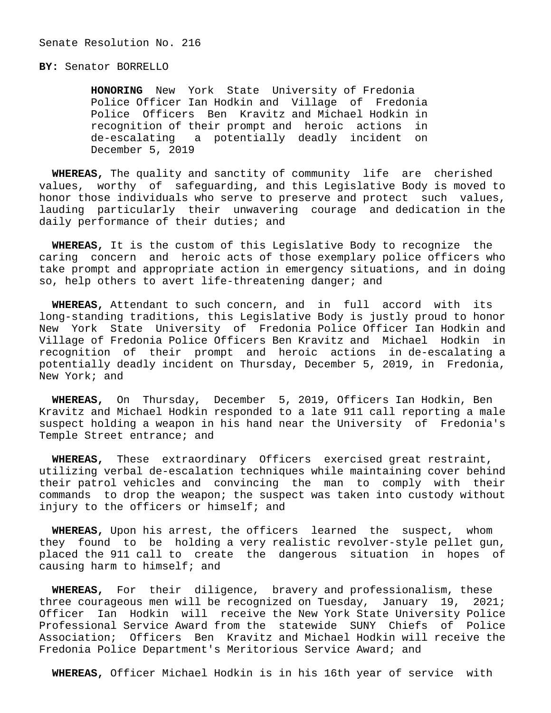## **BY:** Senator BORRELLO

 **HONORING** New York State University of Fredonia Police Officer Ian Hodkin and Village of Fredonia Police Officers Ben Kravitz and Michael Hodkin in recognition of their prompt and heroic actions in de-escalating a potentially deadly incident on December 5, 2019

 **WHEREAS,** The quality and sanctity of community life are cherished values, worthy of safeguarding, and this Legislative Body is moved to honor those individuals who serve to preserve and protect such values, lauding particularly their unwavering courage and dedication in the daily performance of their duties; and

 **WHEREAS,** It is the custom of this Legislative Body to recognize the caring concern and heroic acts of those exemplary police officers who take prompt and appropriate action in emergency situations, and in doing so, help others to avert life-threatening danger; and

 **WHEREAS,** Attendant to such concern, and in full accord with its long-standing traditions, this Legislative Body is justly proud to honor New York State University of Fredonia Police Officer Ian Hodkin and Village of Fredonia Police Officers Ben Kravitz and Michael Hodkin in recognition of their prompt and heroic actions in de-escalating a potentially deadly incident on Thursday, December 5, 2019, in Fredonia, New York; and

 **WHEREAS,** On Thursday, December 5, 2019, Officers Ian Hodkin, Ben Kravitz and Michael Hodkin responded to a late 911 call reporting a male suspect holding a weapon in his hand near the University of Fredonia's Temple Street entrance; and

 **WHEREAS,** These extraordinary Officers exercised great restraint, utilizing verbal de-escalation techniques while maintaining cover behind their patrol vehicles and convincing the man to comply with their commands to drop the weapon; the suspect was taken into custody without injury to the officers or himself; and

 **WHEREAS,** Upon his arrest, the officers learned the suspect, whom they found to be holding a very realistic revolver-style pellet gun, placed the 911 call to create the dangerous situation in hopes of causing harm to himself; and

 **WHEREAS,** For their diligence, bravery and professionalism, these three courageous men will be recognized on Tuesday, January 19, 2021; Officer Ian Hodkin will receive the New York State University Police Professional Service Award from the statewide SUNY Chiefs of Police Association; Officers Ben Kravitz and Michael Hodkin will receive the Fredonia Police Department's Meritorious Service Award; and

**WHEREAS,** Officer Michael Hodkin is in his 16th year of service with